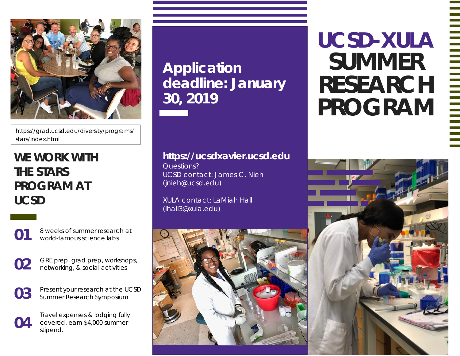

https://grad.ucsd.edu/diversity/programs/ stars/index.html

## **WE WORK WITH THE STARS PROGRAM AT UCSD**



**01** 8 weeks of summer research at world-famous science labs

**02** GRE prep, grad prep, workshops, networking, & social activities

**03** Present your research at the UCSD Summer Research Symposium

Travel expenses & lodging fully<br>
covered, earn \$4,000 summer<br>
stipend covered, earn \$4,000 summer stipend.

**Application deadline: January 30, 2019**

## **https://ucsdxavier.ucsd.edu**

Questions? UCSD contact: James C. Nieh (jnieh@ucsd.edu)

XULA contact: LaMiah Hall (lhall3@xula.edu)



## **UCSD-XULA SUMMER RESEARCH PROGRAM**